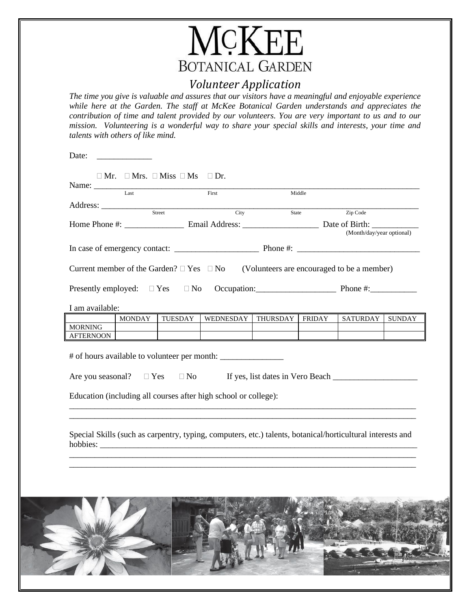

## *Volunteer Application*

*The time you give is valuable and assures that our visitors have a meaningful and enjoyable experience while here at the Garden. The staff at McKee Botanical Garden understands and appreciates the contribution of time and talent provided by our volunteers. You are very important to us and to our mission. Volunteering is a wonderful way to share your special skills and interests, your time and talents with others of like mind.*

| Zip Code<br>State<br>(Month/day/year optional)<br>MONDAY<br>TUESDAY<br>WEDNESDAY   THURSDAY   FRIDAY<br><b>SATURDAY</b>                                                                                                                                                                                                                                                                       | SUNDAY |           | Name: Last | First | Middle |  |
|-----------------------------------------------------------------------------------------------------------------------------------------------------------------------------------------------------------------------------------------------------------------------------------------------------------------------------------------------------------------------------------------------|--------|-----------|------------|-------|--------|--|
|                                                                                                                                                                                                                                                                                                                                                                                               |        |           |            |       |        |  |
|                                                                                                                                                                                                                                                                                                                                                                                               |        |           |            |       |        |  |
| Current member of the Garden? $\Box$ Yes $\Box$ No (Volunteers are encouraged to be a member)<br>Presently employed: $\Box$ Yes $\Box$ No Occupation: Phone #: Phone #:<br>I am available:<br><b>MORNING</b><br>Education (including all courses after high school or college):<br>Special Skills (such as carpentry, typing, computers, etc.) talents, botanical/horticultural interests and |        |           |            |       |        |  |
|                                                                                                                                                                                                                                                                                                                                                                                               |        |           |            |       |        |  |
|                                                                                                                                                                                                                                                                                                                                                                                               |        |           |            |       |        |  |
|                                                                                                                                                                                                                                                                                                                                                                                               |        |           |            |       |        |  |
|                                                                                                                                                                                                                                                                                                                                                                                               |        |           |            |       |        |  |
|                                                                                                                                                                                                                                                                                                                                                                                               |        |           |            |       |        |  |
|                                                                                                                                                                                                                                                                                                                                                                                               |        |           |            |       |        |  |
|                                                                                                                                                                                                                                                                                                                                                                                               |        |           |            |       |        |  |
|                                                                                                                                                                                                                                                                                                                                                                                               |        |           |            |       |        |  |
|                                                                                                                                                                                                                                                                                                                                                                                               |        | AFTERNOON |            |       |        |  |
|                                                                                                                                                                                                                                                                                                                                                                                               |        |           |            |       |        |  |
|                                                                                                                                                                                                                                                                                                                                                                                               |        |           |            |       |        |  |
|                                                                                                                                                                                                                                                                                                                                                                                               |        |           |            |       |        |  |
|                                                                                                                                                                                                                                                                                                                                                                                               |        |           |            |       |        |  |